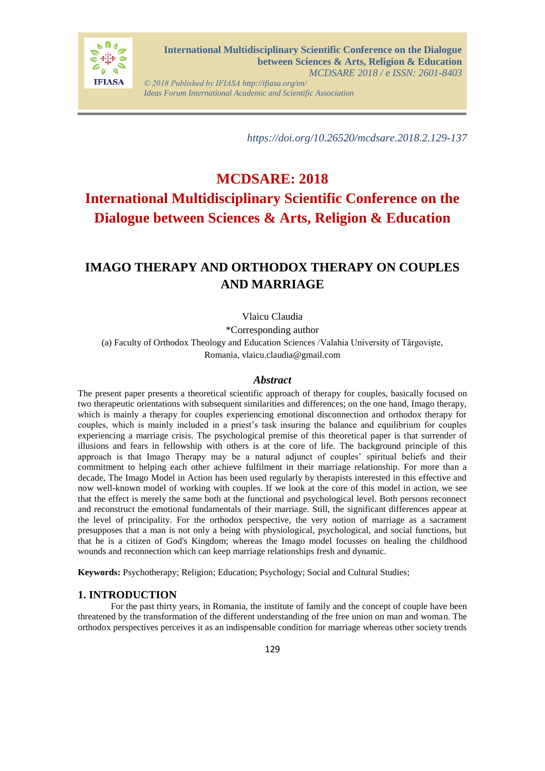

*© 2018 Published by IFIASA http://ifiasa.org/en/ Ideas Forum International Academic and Scientific Association*

 *https://doi.org/10.26520/mcdsare.2018.2.129-137* 

# **MCDSARE: 2018 International Multidisciplinary Scientific Conference on the Dialogue between Sciences & Arts, Religion & Education**

## **IMAGO THERAPY AND ORTHODOX THERAPY ON COUPLES AND MARRIAGE**

Vlaicu Claudia

\*Corresponding author

(a) Faculty of Orthodox Theology and Education Sciences /Valahia University of Târgovişte, Romania, vlaicu.claudia@gmail.com

#### *Abstract*

The present paper presents a theoretical scientific approach of therapy for couples, basically focused on two therapeutic orientations with subsequent similarities and differences; on the one hand, Imago therapy, which is mainly a therapy for couples experiencing emotional disconnection and orthodox therapy for couples, which is mainly included in a priest's task insuring the balance and equilibrium for couples experiencing a marriage crisis. The psychological premise of this theoretical paper is that surrender of illusions and fears in fellowship with others is at the core of life. The background principle of this approach is that Imago Therapy may be a natural adjunct of couples' spiritual beliefs and their commitment to helping each other achieve fulfilment in their marriage relationship. For more than a decade, The Imago Model in Action has been used regularly by therapists interested in this effective and now well-known model of working with couples. If we look at the core of this model in action, we see that the effect is merely the same both at the functional and psychological level. Both persons reconnect and reconstruct the emotional fundamentals of their marriage. Still, the significant differences appear at the level of principality. For the orthodox perspective, the very notion of marriage as a sacrament presupposes that a man is not only a being with physiological, psychological, and social functions, but that he is a citizen of God's Kingdom; whereas the Imago model focusses on healing the childhood wounds and reconnection which can keep marriage relationships fresh and dynamic.

**Keywords:** Psychotherapy; Religion; Education; Psychology; Social and Cultural Studies;

#### **1. INTRODUCTION**

For the past thirty years, in Romania, the institute of family and the concept of couple have been threatened by the transformation of the different understanding of the free union on man and woman. The orthodox perspectives perceives it as an indispensable condition for marriage whereas other society trends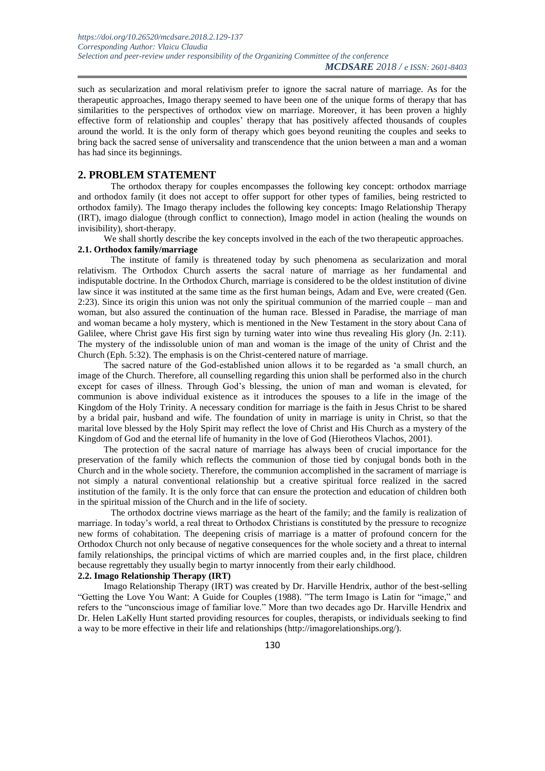such as secularization and moral relativism prefer to ignore the sacral nature of marriage. As for the therapeutic approaches, Imago therapy seemed to have been one of the unique forms of therapy that has similarities to the perspectives of orthodox view on marriage. Moreover, it has been proven a highly effective form of relationship and couples' therapy that has positively affected thousands of couples around the world. It is the only form of therapy which goes beyond reuniting the couples and seeks to bring back the sacred sense of universality and transcendence that the union between a man and a woman has had since its beginnings.

#### **2. PROBLEM STATEMENT**

The orthodox therapy for couples encompasses the following key concept: orthodox marriage and orthodox family (it does not accept to offer support for other types of families, being restricted to orthodox family). The Imago therapy includes the following key concepts: Imago Relationship Therapy (IRT), imago dialogue (through conflict to connection), Imago model in action (healing the wounds on invisibility), short-therapy.

We shall shortly describe the key concepts involved in the each of the two therapeutic approaches. **2.1. Orthodox family/marriage**

The institute of family is threatened today by such phenomena as secularization and moral relativism. The Orthodox Church asserts the sacral nature of marriage as her fundamental and indisputable doctrine. In the Orthodox Church, marriage is considered to be the oldest institution of divine law since it was instituted at the same time as the first human beings, Adam and Eve, were created (Gen. 2:23). Since its origin this union was not only the spiritual communion of the married couple – man and woman, but also assured the continuation of the human race. Blessed in Paradise, the marriage of man and woman became a holy mystery, which is mentioned in the New Testament in the story about Cana of Galilee, where Christ gave His first sign by turning water into wine thus revealing His glory (Jn. 2:11). The mystery of the indissoluble union of man and woman is the image of the unity of Christ and the Church (Eph. 5:32). The emphasis is on the Christ-centered nature of marriage.

The sacred nature of the God-established union allows it to be regarded as 'a small church, an image of the Church. Therefore, all counselling regarding this union shall be performed also in the church except for cases of illness. Through God's blessing, the union of man and woman is elevated, for communion is above individual existence as it introduces the spouses to a life in the image of the Kingdom of the Holy Trinity. A necessary condition for marriage is the faith in Jesus Christ to be shared by a bridal pair, husband and wife. The foundation of unity in marriage is unity in Christ, so that the marital love blessed by the Holy Spirit may reflect the love of Christ and His Church as a mystery of the Kingdom of God and the eternal life of humanity in the love of God (Hierotheos Vlachos, 2001).

The protection of the sacral nature of marriage has always been of crucial importance for the preservation of the family which reflects the communion of those tied by conjugal bonds both in the Church and in the whole society. Therefore, the communion accomplished in the sacrament of marriage is not simply a natural conventional relationship but a creative spiritual force realized in the sacred institution of the family. It is the only force that can ensure the protection and education of children both in the spiritual mission of the Church and in the life of society.

The orthodox doctrine views marriage as the heart of the family; and the family is realization of marriage. In today's world, a real threat to Orthodox Christians is constituted by the pressure to recognize new forms of cohabitation. The deepening crisis of marriage is a matter of profound concern for the Orthodox Church not only because of negative consequences for the whole society and a threat to internal family relationships, the principal victims of which are married couples and, in the first place, children because regrettably they usually begin to martyr innocently from their early childhood.

#### **2.2. Imago Relationship Therapy (IRT)**

Imago Relationship Therapy (IRT) was created by Dr. Harville Hendrix, author of the best-selling "Getting the Love You Want: A Guide for Couples (1988). "The term Imago is Latin for "image," and refers to the "unconscious image of familiar love." More than two decades ago Dr. Harville Hendrix and Dr. Helen LaKelly Hunt started providing resources for couples, therapists, or individuals seeking to find a way to be more effective in their life and relationships (http://imagorelationships.org/).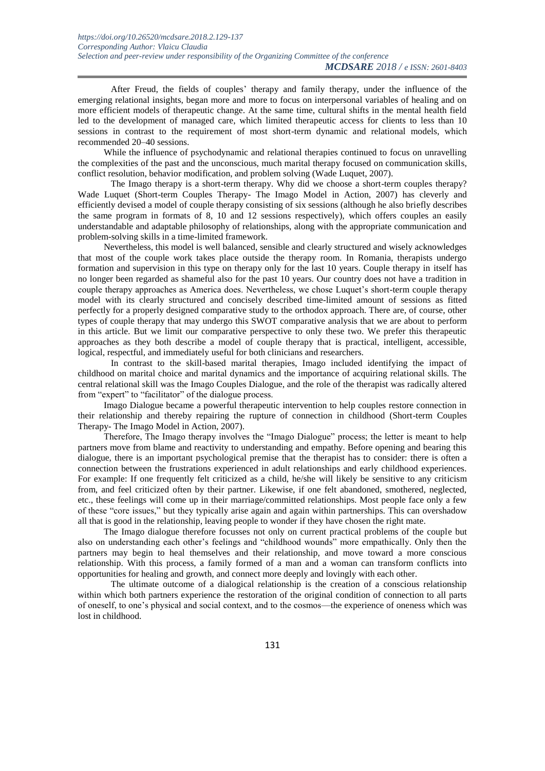After Freud, the fields of couples' therapy and family therapy, under the influence of the emerging relational insights, began more and more to focus on interpersonal variables of healing and on more efficient models of therapeutic change. At the same time, cultural shifts in the mental health field led to the development of managed care, which limited therapeutic access for clients to less than 10 sessions in contrast to the requirement of most short-term dynamic and relational models, which recommended 20–40 sessions.

While the influence of psychodynamic and relational therapies continued to focus on unravelling the complexities of the past and the unconscious, much marital therapy focused on communication skills, conflict resolution, behavior modification, and problem solving (Wade Luquet, 2007).

The Imago therapy is a short-term therapy. Why did we choose a short-term couples therapy? Wade Luquet (Short-term Couples Therapy- The Imago Model in Action, 2007) has cleverly and efficiently devised a model of couple therapy consisting of six sessions (although he also briefly describes the same program in formats of 8, 10 and 12 sessions respectively), which offers couples an easily understandable and adaptable philosophy of relationships, along with the appropriate communication and problem-solving skills in a time-limited framework.

Nevertheless, this model is well balanced, sensible and clearly structured and wisely acknowledges that most of the couple work takes place outside the therapy room. In Romania, therapists undergo formation and supervision in this type on therapy only for the last 10 years. Couple therapy in itself has no longer been regarded as shameful also for the past 10 years. Our country does not have a tradition in couple therapy approaches as America does. Nevertheless, we chose Luquet's short-term couple therapy model with its clearly structured and concisely described time-limited amount of sessions as fitted perfectly for a properly designed comparative study to the orthodox approach. There are, of course, other types of couple therapy that may undergo this SWOT comparative analysis that we are about to perform in this article. But we limit our comparative perspective to only these two. We prefer this therapeutic approaches as they both describe a model of couple therapy that is practical, intelligent, accessible, logical, respectful, and immediately useful for both clinicians and researchers.

In contrast to the skill-based marital therapies, Imago included identifying the impact of childhood on marital choice and marital dynamics and the importance of acquiring relational skills. The central relational skill was the Imago Couples Dialogue, and the role of the therapist was radically altered from "expert" to "facilitator" of the dialogue process.

Imago Dialogue became a powerful therapeutic intervention to help couples restore connection in their relationship and thereby repairing the rupture of connection in childhood (Short-term Couples Therapy- The Imago Model in Action, 2007).

Therefore, The Imago therapy involves the "Imago Dialogue" process; the letter is meant to help partners move from blame and reactivity to understanding and empathy. Before opening and bearing this dialogue, there is an important psychological premise that the therapist has to consider: there is often a connection between the frustrations experienced in adult relationships and early childhood experiences. For example: If one frequently felt criticized as a child, he/she will likely be sensitive to any criticism from, and feel criticized often by their partner. Likewise, if one felt abandoned, smothered, neglected, etc., these feelings will come up in their marriage/committed relationships. Most people face only a few of these "core issues," but they typically arise again and again within partnerships. This can overshadow all that is good in the relationship, leaving people to wonder if they have chosen the right mate.

The Imago dialogue therefore focusses not only on current practical problems of the couple but also on understanding each other's feelings and "childhood wounds" more empathically. Only then the partners may begin to heal themselves and their relationship, and move toward a more conscious relationship. With this process, a family formed of a man and a woman can transform conflicts into opportunities for healing and growth, and connect more deeply and lovingly with each other.

The ultimate outcome of a dialogical relationship is the creation of a conscious relationship within which both partners experience the restoration of the original condition of connection to all parts of oneself, to one's physical and social context, and to the cosmos—the experience of oneness which was lost in childhood.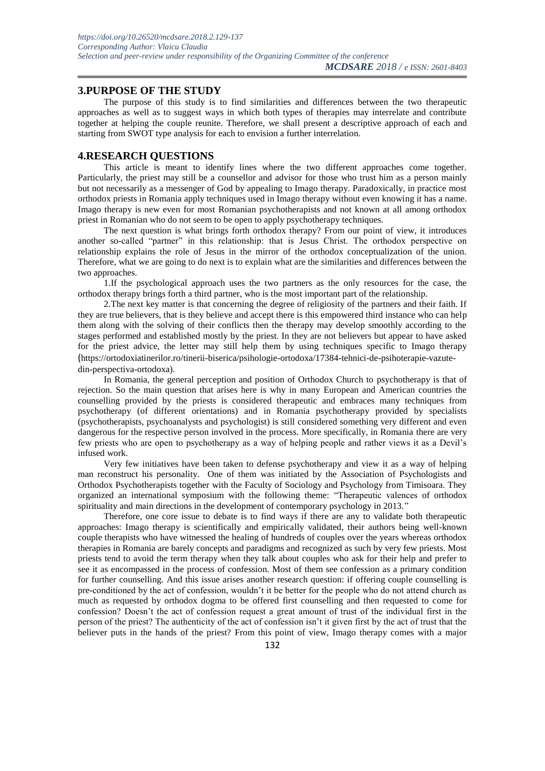#### **3.PURPOSE OF THE STUDY**

The purpose of this study is to find similarities and differences between the two therapeutic approaches as well as to suggest ways in which both types of therapies may interrelate and contribute together at helping the couple reunite. Therefore, we shall present a descriptive approach of each and starting from SWOT type analysis for each to envision a further interrelation.

#### **4.RESEARCH QUESTIONS**

This article is meant to identify lines where the two different approaches come together. Particularly, the priest may still be a counsellor and advisor for those who trust him as a person mainly but not necessarily as a messenger of God by appealing to Imago therapy. Paradoxically, in practice most orthodox priests in Romania apply techniques used in Imago therapy without even knowing it has a name. Imago therapy is new even for most Romanian psychotherapists and not known at all among orthodox priest in Romanian who do not seem to be open to apply psychotherapy techniques.

The next question is what brings forth orthodox therapy? From our point of view, it introduces another so-called "partner" in this relationship: that is Jesus Christ. The orthodox perspective on relationship explains the role of Jesus in the mirror of the orthodox conceptualization of the union. Therefore, what we are going to do next is to explain what are the similarities and differences between the two approaches.

1.If the psychological approach uses the two partners as the only resources for the case, the orthodox therapy brings forth a third partner, who is the most important part of the relationship.

2.The next key matter is that concerning the degree of religiosity of the partners and their faith. If they are true believers, that is they believe and accept there is this empowered third instance who can help them along with the solving of their conflicts then the therapy may develop smoothly according to the stages performed and established mostly by the priest. In they are not believers but appear to have asked for the priest advice, the letter may still help them by using techniques specific to Imago therapy (https://ortodoxiatinerilor.ro/tinerii-biserica/psihologie-ortodoxa/17384-tehnici-de-psihoterapie-vazutedin-perspectiva-ortodoxa).

In Romania, the general perception and position of Orthodox Church to psychotherapy is that of rejection. So the main question that arises here is why in many European and American countries the counselling provided by the priests is considered therapeutic and embraces many techniques from psychotherapy (of different orientations) and in Romania psychotherapy provided by specialists (psychotherapists, psychoanalysts and psychologist) is still considered something very different and even dangerous for the respective person involved in the process. More specifically, in Romania there are very few priests who are open to psychotherapy as a way of helping people and rather views it as a Devil's infused work.

Very few initiatives have been taken to defense psychotherapy and view it as a way of helping man reconstruct his personality. One of them was initiated by the Association of Psychologists and Orthodox Psychotherapists together with the Faculty of Sociology and Psychology from Timisoara. They organized an international symposium with the following theme: "Therapeutic valences of orthodox spirituality and main directions in the development of contemporary psychology in 2013."

Therefore, one core issue to debate is to find ways if there are any to validate both therapeutic approaches: Imago therapy is scientifically and empirically validated, their authors being well-known couple therapists who have witnessed the healing of hundreds of couples over the years whereas orthodox therapies in Romania are barely concepts and paradigms and recognized as such by very few priests. Most priests tend to avoid the term therapy when they talk about couples who ask for their help and prefer to see it as encompassed in the process of confession. Most of them see confession as a primary condition for further counselling. And this issue arises another research question: if offering couple counselling is pre-conditioned by the act of confession, wouldn't it be better for the people who do not attend church as much as requested by orthodox dogma to be offered first counselling and then requested to come for confession? Doesn't the act of confession request a great amount of trust of the individual first in the person of the priest? The authenticity of the act of confession isn't it given first by the act of trust that the believer puts in the hands of the priest? From this point of view, Imago therapy comes with a major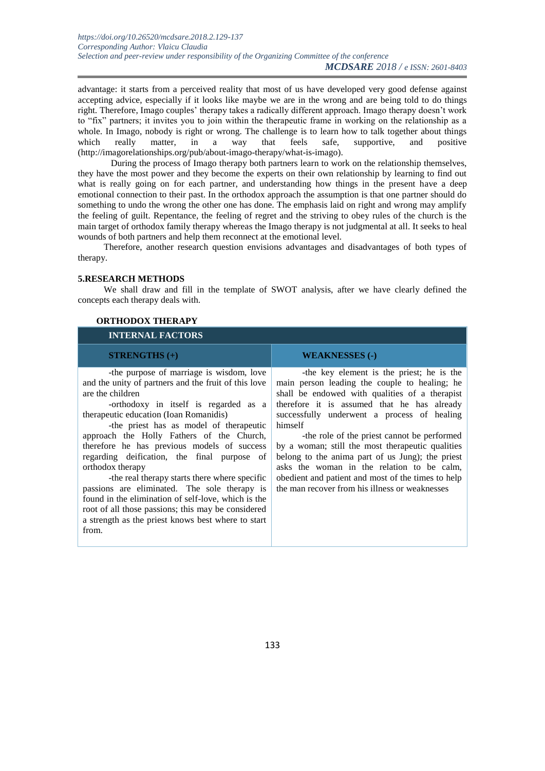advantage: it starts from a perceived reality that most of us have developed very good defense against accepting advice, especially if it looks like maybe we are in the wrong and are being told to do things right. Therefore, Imago couples' therapy takes a radically different approach. Imago therapy doesn't work to "fix" partners; it invites you to join within the therapeutic frame in working on the relationship as a whole. In Imago, nobody is right or wrong. The challenge is to learn how to talk together about things which really matter, in a way that feels safe, supportive, and positive (http://imagorelationships.org/pub/about-imago-therapy/what-is-imago).

During the process of Imago therapy both partners learn to work on the relationship themselves, they have the most power and they become the experts on their own relationship by learning to find out what is really going on for each partner, and understanding how things in the present have a deep emotional connection to their past. In the orthodox approach the assumption is that one partner should do something to undo the wrong the other one has done. The emphasis laid on right and wrong may amplify the feeling of guilt. Repentance, the feeling of regret and the striving to obey rules of the church is the main target of orthodox family therapy whereas the Imago therapy is not judgmental at all. It seeks to heal wounds of both partners and help them reconnect at the emotional level.

Therefore, another research question envisions advantages and disadvantages of both types of therapy.

#### **5.RESEARCH METHODS**

We shall draw and fill in the template of SWOT analysis, after we have clearly defined the concepts each therapy deals with.

| <b>INTERNAL FACTORS</b>                                                                                                                                                                                                                                                                                                                                                                                                                                                                                                                                                                                                                                                                         |                                                                                                                                                                                                                                                                                                                                                                                                                                                                                                                                                                    |
|-------------------------------------------------------------------------------------------------------------------------------------------------------------------------------------------------------------------------------------------------------------------------------------------------------------------------------------------------------------------------------------------------------------------------------------------------------------------------------------------------------------------------------------------------------------------------------------------------------------------------------------------------------------------------------------------------|--------------------------------------------------------------------------------------------------------------------------------------------------------------------------------------------------------------------------------------------------------------------------------------------------------------------------------------------------------------------------------------------------------------------------------------------------------------------------------------------------------------------------------------------------------------------|
| $SIRENGTHS (+)$                                                                                                                                                                                                                                                                                                                                                                                                                                                                                                                                                                                                                                                                                 | <b>WEAKNESSES (-)</b>                                                                                                                                                                                                                                                                                                                                                                                                                                                                                                                                              |
| -the purpose of marriage is wisdom, love<br>and the unity of partners and the fruit of this love<br>are the children<br>-orthodoxy in itself is regarded as a<br>therapeutic education (Ioan Romanidis)<br>-the priest has as model of the rapeutic<br>approach the Holly Fathers of the Church,<br>therefore he has previous models of success<br>regarding deification, the final purpose of<br>orthodox therapy<br>-the real therapy starts there where specific<br>passions are eliminated. The sole therapy is<br>found in the elimination of self-love, which is the<br>root of all those passions; this may be considered<br>a strength as the priest knows best where to start<br>from. | -the key element is the priest; he is the<br>main person leading the couple to healing; he<br>shall be endowed with qualities of a therapist<br>therefore it is assumed that he has already<br>successfully underwent a process of healing<br>himself<br>-the role of the priest cannot be performed<br>by a woman; still the most therapeutic qualities<br>belong to the anima part of us Jung); the priest<br>asks the woman in the relation to be calm,<br>obedient and patient and most of the times to help<br>the man recover from his illness or weaknesses |

#### **ORTHODOX THERAPY**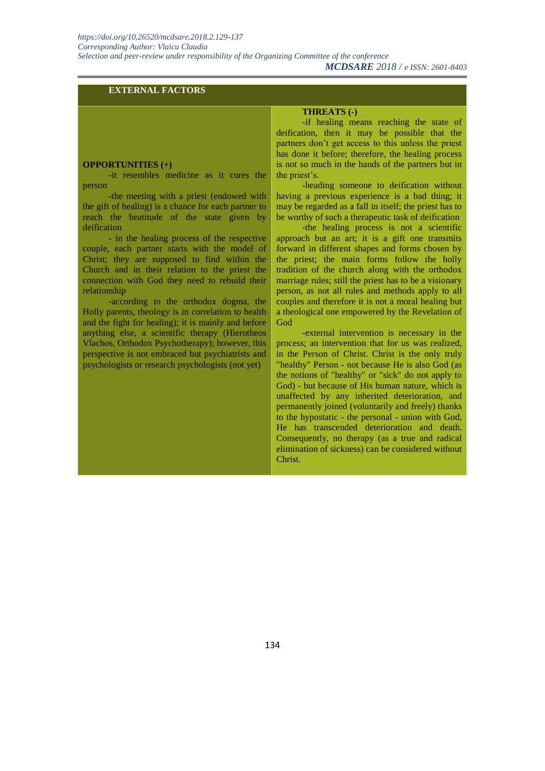#### *MCDSARE 2018 / e ISSN: 2601-8403*

#### **EXTERNAL FACTORS**

#### **OPPORTUNITIES (+)**

-it resembles medicine as it cures the person

-the meeting with a priest (endowed with the gift of healing) is a chance for each partner to reach the beatitude of the state given by deification

- in the healing process of the respective couple, each partner starts with the model of Christ; they are supposed to find within the Church and in their relation to the priest the connection with God they need to rebuild their relationship

-according to the orthodox dogma, the Holly parents, theology is in correlation to health and the fight for healing); it is mainly and before anything else, a scientific therapy (Hierotheos Vlachos, Orthodox Psychotherapy); however, this perspective is not embraced but psychiatrists and psychologists or research psychologists (not yet)

#### **THREATS (-)**

-if healing means reaching the state of deification, then it may be possible that the partners don't get access to this unless the priest has done it before; therefore, the healing process is not so much in the hands of the partners but in the priest's.

-heading someone to deification without having a previous experience is a bad thing; it may be regarded as a fall in itself; the priest has to be worthy of such a therapeutic task of deification

-the healing process is not a scientific approach but an art; it is a gift one transmits forward in different shapes and forms chosen by the priest; the main forms follow the holly tradition of the church along with the orthodox marriage rules; still the priest has to be a visionary person, as not all rules and methods apply to all couples and therefore it is not a moral healing but a theological one empowered by the Revelation of God

-external intervention is necessary in the process; an intervention that for us was realized, in the Person of Christ. Christ is the only truly "healthy" Person - not because He is also God (as the notions of "healthy" or "sick" do not apply to God) - but because of His human nature, which is unaffected by any inherited deterioration, and permanently joined (voluntarily and freely) thanks to the hypostatic - the personal - union with God, He has transcended deterioration and death. Consequently, no therapy (as a true and radical elimination of sickness) can be considered without Christ.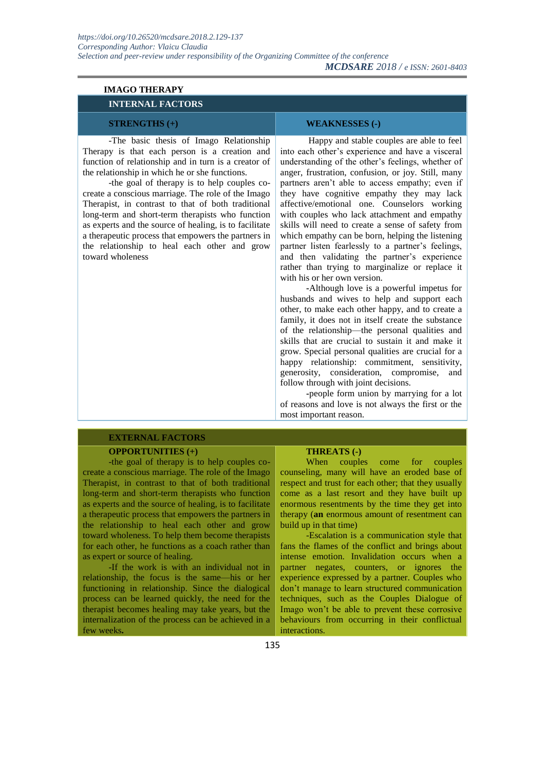| <b>IMAGO THERAPY</b>                                                                                                                                                                                                                                                                                                                                                                                                                                                                                                                                                                                   |                                                                                                                                                                                                                                                                                                                                                                                                                                                                                                                                                                                                                                                                                                                                                                                                                                                                                                                                                                                                                                                                                                                                                                                                                                                                                                                                                  |
|--------------------------------------------------------------------------------------------------------------------------------------------------------------------------------------------------------------------------------------------------------------------------------------------------------------------------------------------------------------------------------------------------------------------------------------------------------------------------------------------------------------------------------------------------------------------------------------------------------|--------------------------------------------------------------------------------------------------------------------------------------------------------------------------------------------------------------------------------------------------------------------------------------------------------------------------------------------------------------------------------------------------------------------------------------------------------------------------------------------------------------------------------------------------------------------------------------------------------------------------------------------------------------------------------------------------------------------------------------------------------------------------------------------------------------------------------------------------------------------------------------------------------------------------------------------------------------------------------------------------------------------------------------------------------------------------------------------------------------------------------------------------------------------------------------------------------------------------------------------------------------------------------------------------------------------------------------------------|
| <b>INTERNAL FACTORS</b>                                                                                                                                                                                                                                                                                                                                                                                                                                                                                                                                                                                |                                                                                                                                                                                                                                                                                                                                                                                                                                                                                                                                                                                                                                                                                                                                                                                                                                                                                                                                                                                                                                                                                                                                                                                                                                                                                                                                                  |
| <b>STRENGTHS</b> (+)                                                                                                                                                                                                                                                                                                                                                                                                                                                                                                                                                                                   | <b>WEAKNESSES (-)</b>                                                                                                                                                                                                                                                                                                                                                                                                                                                                                                                                                                                                                                                                                                                                                                                                                                                                                                                                                                                                                                                                                                                                                                                                                                                                                                                            |
| -The basic thesis of Imago Relationship<br>Therapy is that each person is a creation and<br>function of relationship and in turn is a creator of<br>the relationship in which he or she functions.<br>-the goal of therapy is to help couples co-<br>create a conscious marriage. The role of the Imago<br>Therapist, in contrast to that of both traditional<br>long-term and short-term therapists who function<br>as experts and the source of healing, is to facilitate<br>a therapeutic process that empowers the partners in<br>the relationship to heal each other and grow<br>toward wholeness | Happy and stable couples are able to feel<br>into each other's experience and have a visceral<br>understanding of the other's feelings, whether of<br>anger, frustration, confusion, or joy. Still, many<br>partners aren't able to access empathy; even if<br>they have cognitive empathy they may lack<br>affective/emotional one. Counselors working<br>with couples who lack attachment and empathy<br>skills will need to create a sense of safety from<br>which empathy can be born, helping the listening<br>partner listen fearlessly to a partner's feelings,<br>and then validating the partner's experience<br>rather than trying to marginalize or replace it<br>with his or her own version.<br>-Although love is a powerful impetus for<br>husbands and wives to help and support each<br>other, to make each other happy, and to create a<br>family, it does not in itself create the substance<br>of the relationship-the personal qualities and<br>skills that are crucial to sustain it and make it<br>grow. Special personal qualities are crucial for a<br>happy relationship: commitment, sensitivity,<br>generosity, consideration, compromise,<br>and<br>follow through with joint decisions.<br>-people form union by marrying for a lot<br>of reasons and love is not always the first or the<br>most important reason. |

### **EXTERNAL FACTORS**

#### **OPPORTUNITIES (+)**

-the goal of therapy is to help couples cocreate a conscious marriage. The role of the Imago Therapist, in contrast to that of both traditional long-term and short-term therapists who function as experts and the source of healing, is to facilitate a therapeutic process that empowers the partners in the relationship to heal each other and grow toward wholeness. To help them become therapists for each other, he functions as a coach rather than as expert or source of healing.

-If the work is with an individual not in relationship, the focus is the same—his or her functioning in relationship. Since the dialogical process can be learned quickly, the need for the therapist becomes healing may take years, but the internalization of the process can be achieved in a few weeks**.**

#### **THREATS (-)**

When couples come for couples counseling, many will have an eroded base of respect and trust for each other; that they usually come as a last resort and they have built up enormous resentments by the time they get into therapy (**an** enormous amount of resentment can build up in that time)

*MCDSARE 2018 / e ISSN: 2601-8403* 

-Escalation is a communication style that fans the flames of the conflict and brings about intense emotion. Invalidation occurs when a partner negates, counters, or ignores the experience expressed by a partner. Couples who don't manage to learn structured communication techniques, such as the Couples Dialogue of Imago won't be able to prevent these corrosive behaviours from occurring in their conflictual interactions.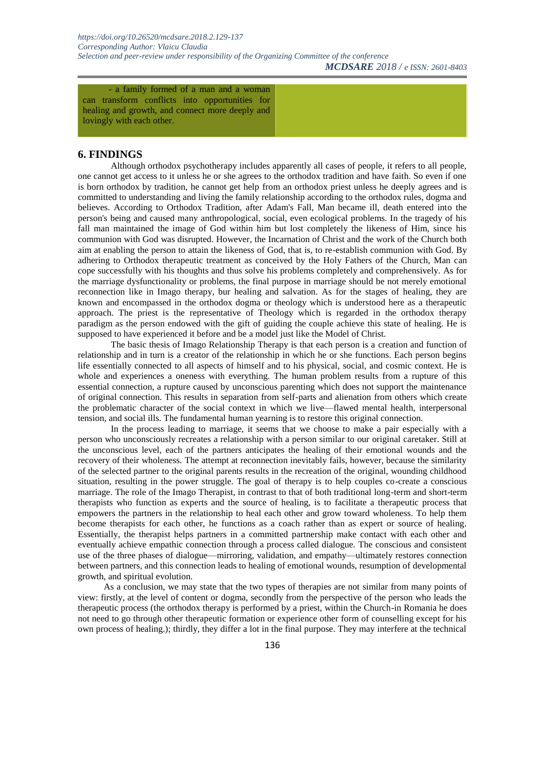*MCDSARE 2018 / e ISSN: 2601-8403* 

- a family formed of a man and a woman can transform conflicts into opportunities for healing and growth, and connect more deeply and lovingly with each other.

#### **6. FINDINGS**

Although orthodox psychotherapy includes apparently all cases of people, it refers to all people, one cannot get access to it unless he or she agrees to the orthodox tradition and have faith. So even if one is born orthodox by tradition, he cannot get help from an orthodox priest unless he deeply agrees and is committed to understanding and living the family relationship according to the orthodox rules, dogma and believes. According to Orthodox Tradition, after Adam's Fall, Man became ill, death entered into the person's being and caused many anthropological, social, even ecological problems. In the tragedy of his fall man maintained the image of God within him but lost completely the likeness of Him, since his communion with God was disrupted. However, the Incarnation of Christ and the work of the Church both aim at enabling the person to attain the likeness of God, that is, to re-establish communion with God. By adhering to Orthodox therapeutic treatment as conceived by the Holy Fathers of the Church, Man can cope successfully with his thoughts and thus solve his problems completely and comprehensively. As for the marriage dysfunctionality or problems, the final purpose in marriage should be not merely emotional reconnection like in Imago therapy, bur healing and salvation. As for the stages of healing, they are known and encompassed in the orthodox dogma or theology which is understood here as a therapeutic approach. The priest is the representative of Theology which is regarded in the orthodox therapy paradigm as the person endowed with the gift of guiding the couple achieve this state of healing. He is supposed to have experienced it before and be a model just like the Model of Christ.

The basic thesis of Imago Relationship Therapy is that each person is a creation and function of relationship and in turn is a creator of the relationship in which he or she functions. Each person begins life essentially connected to all aspects of himself and to his physical, social, and cosmic context. He is whole and experiences a oneness with everything. The human problem results from a rupture of this essential connection, a rupture caused by unconscious parenting which does not support the maintenance of original connection. This results in separation from self-parts and alienation from others which create the problematic character of the social context in which we live—flawed mental health, interpersonal tension, and social ills. The fundamental human yearning is to restore this original connection.

In the process leading to marriage, it seems that we choose to make a pair especially with a person who unconsciously recreates a relationship with a person similar to our original caretaker. Still at the unconscious level, each of the partners anticipates the healing of their emotional wounds and the recovery of their wholeness. The attempt at reconnection inevitably fails, however, because the similarity of the selected partner to the original parents results in the recreation of the original, wounding childhood situation, resulting in the power struggle. The goal of therapy is to help couples co-create a conscious marriage. The role of the Imago Therapist, in contrast to that of both traditional long-term and short-term therapists who function as experts and the source of healing, is to facilitate a therapeutic process that empowers the partners in the relationship to heal each other and grow toward wholeness. To help them become therapists for each other, he functions as a coach rather than as expert or source of healing. Essentially, the therapist helps partners in a committed partnership make contact with each other and eventually achieve empathic connection through a process called dialogue. The conscious and consistent use of the three phases of dialogue—mirroring, validation, and empathy—ultimately restores connection between partners, and this connection leads to healing of emotional wounds, resumption of developmental growth, and spiritual evolution.

As a conclusion, we may state that the two types of therapies are not similar from many points of view: firstly, at the level of content or dogma, secondly from the perspective of the person who leads the therapeutic process (the orthodox therapy is performed by a priest, within the Church-in Romania he does not need to go through other therapeutic formation or experience other form of counselling except for his own process of healing.); thirdly, they differ a lot in the final purpose. They may interfere at the technical